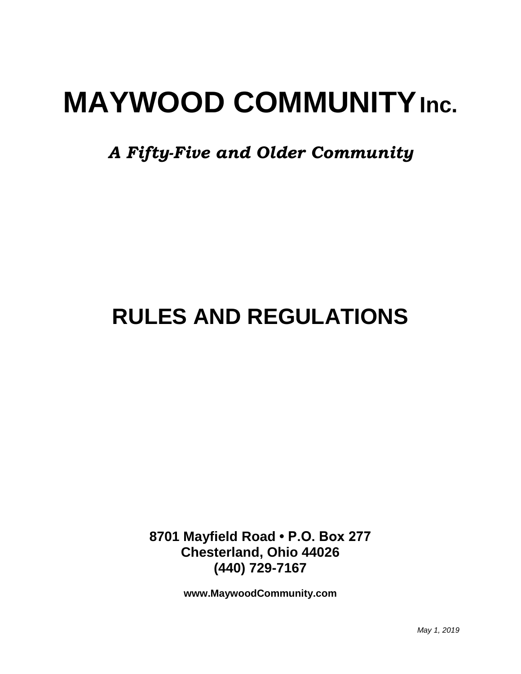# **MAYWOOD COMMUNITYInc.**

*A Fifty-Five and Older Community*

## **RULES AND REGULATIONS**

**8701 Mayfield Road • P.O. Box 277 Chesterland, Ohio 44026 (440) 729-7167**

**www.MaywoodCommunity.com**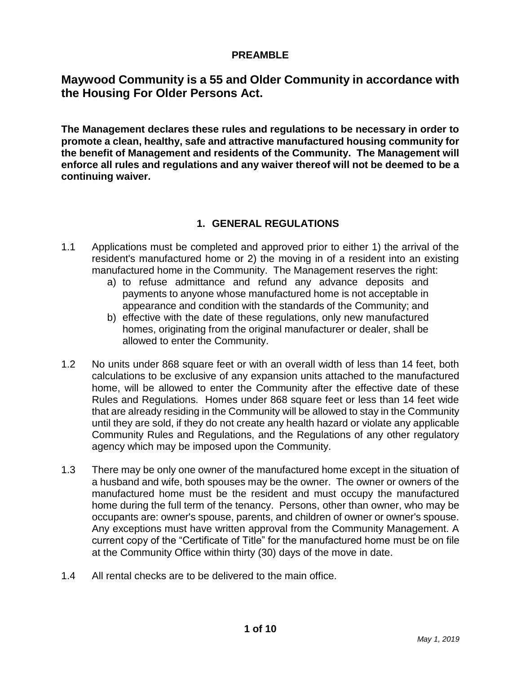#### **PREAMBLE**

### **Maywood Community is a 55 and Older Community in accordance with the Housing For Older Persons Act.**

**The Management declares these rules and regulations to be necessary in order to promote a clean, healthy, safe and attractive manufactured housing community for the benefit of Management and residents of the Community. The Management will enforce all rules and regulations and any waiver thereof will not be deemed to be a continuing waiver.**

#### **1. GENERAL REGULATIONS**

- 1.1 Applications must be completed and approved prior to either 1) the arrival of the resident's manufactured home or 2) the moving in of a resident into an existing manufactured home in the Community. The Management reserves the right:
	- a) to refuse admittance and refund any advance deposits and payments to anyone whose manufactured home is not acceptable in appearance and condition with the standards of the Community; and
	- b) effective with the date of these regulations, only new manufactured homes, originating from the original manufacturer or dealer, shall be allowed to enter the Community.
- 1.2 No units under 868 square feet or with an overall width of less than 14 feet, both calculations to be exclusive of any expansion units attached to the manufactured home, will be allowed to enter the Community after the effective date of these Rules and Regulations. Homes under 868 square feet or less than 14 feet wide that are already residing in the Community will be allowed to stay in the Community until they are sold, if they do not create any health hazard or violate any applicable Community Rules and Regulations, and the Regulations of any other regulatory agency which may be imposed upon the Community.
- 1.3 There may be only one owner of the manufactured home except in the situation of a husband and wife, both spouses may be the owner. The owner or owners of the manufactured home must be the resident and must occupy the manufactured home during the full term of the tenancy. Persons, other than owner, who may be occupants are: owner's spouse, parents, and children of owner or owner's spouse. Any exceptions must have written approval from the Community Management. A current copy of the "Certificate of Title" for the manufactured home must be on file at the Community Office within thirty (30) days of the move in date.
- 1.4 All rental checks are to be delivered to the main office.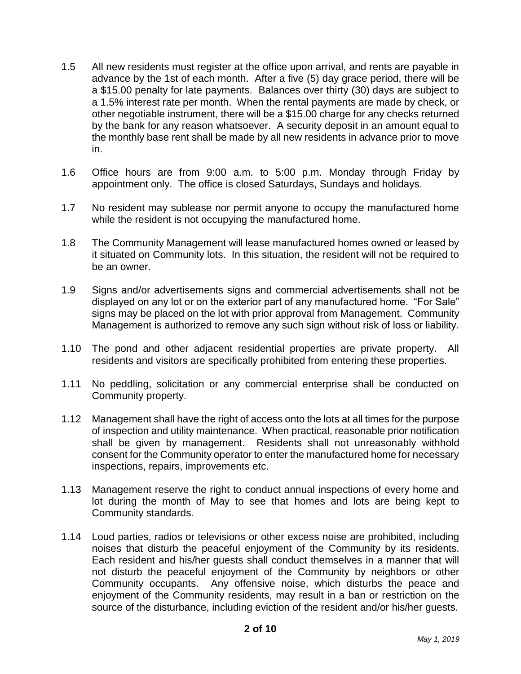- 1.5 All new residents must register at the office upon arrival, and rents are payable in advance by the 1st of each month. After a five (5) day grace period, there will be a \$15.00 penalty for late payments. Balances over thirty (30) days are subject to a 1.5% interest rate per month. When the rental payments are made by check, or other negotiable instrument, there will be a \$15.00 charge for any checks returned by the bank for any reason whatsoever. A security deposit in an amount equal to the monthly base rent shall be made by all new residents in advance prior to move in.
- 1.6 Office hours are from 9:00 a.m. to 5:00 p.m. Monday through Friday by appointment only. The office is closed Saturdays, Sundays and holidays.
- 1.7 No resident may sublease nor permit anyone to occupy the manufactured home while the resident is not occupying the manufactured home.
- 1.8 The Community Management will lease manufactured homes owned or leased by it situated on Community lots. In this situation, the resident will not be required to be an owner.
- 1.9 Signs and/or advertisements signs and commercial advertisements shall not be displayed on any lot or on the exterior part of any manufactured home. "For Sale" signs may be placed on the lot with prior approval from Management. Community Management is authorized to remove any such sign without risk of loss or liability.
- 1.10 The pond and other adjacent residential properties are private property. All residents and visitors are specifically prohibited from entering these properties.
- 1.11 No peddling, solicitation or any commercial enterprise shall be conducted on Community property.
- 1.12 Management shall have the right of access onto the lots at all times for the purpose of inspection and utility maintenance. When practical, reasonable prior notification shall be given by management. Residents shall not unreasonably withhold consent for the Community operator to enter the manufactured home for necessary inspections, repairs, improvements etc.
- 1.13 Management reserve the right to conduct annual inspections of every home and lot during the month of May to see that homes and lots are being kept to Community standards.
- 1.14 Loud parties, radios or televisions or other excess noise are prohibited, including noises that disturb the peaceful enjoyment of the Community by its residents. Each resident and his/her guests shall conduct themselves in a manner that will not disturb the peaceful enjoyment of the Community by neighbors or other Community occupants. Any offensive noise, which disturbs the peace and enjoyment of the Community residents, may result in a ban or restriction on the source of the disturbance, including eviction of the resident and/or his/her guests.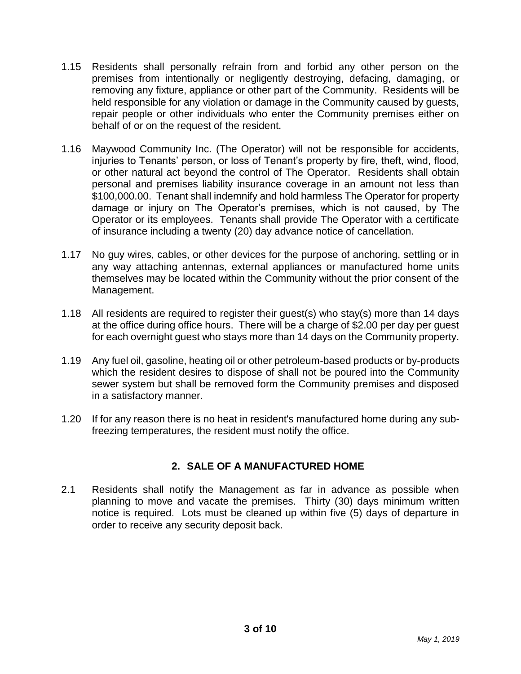- 1.15 Residents shall personally refrain from and forbid any other person on the premises from intentionally or negligently destroying, defacing, damaging, or removing any fixture, appliance or other part of the Community. Residents will be held responsible for any violation or damage in the Community caused by guests, repair people or other individuals who enter the Community premises either on behalf of or on the request of the resident.
- 1.16 Maywood Community Inc. (The Operator) will not be responsible for accidents, injuries to Tenants' person, or loss of Tenant's property by fire, theft, wind, flood, or other natural act beyond the control of The Operator. Residents shall obtain personal and premises liability insurance coverage in an amount not less than \$100,000.00. Tenant shall indemnify and hold harmless The Operator for property damage or injury on The Operator's premises, which is not caused, by The Operator or its employees. Tenants shall provide The Operator with a certificate of insurance including a twenty (20) day advance notice of cancellation.
- 1.17 No guy wires, cables, or other devices for the purpose of anchoring, settling or in any way attaching antennas, external appliances or manufactured home units themselves may be located within the Community without the prior consent of the Management.
- 1.18 All residents are required to register their guest(s) who stay(s) more than 14 days at the office during office hours. There will be a charge of \$2.00 per day per guest for each overnight guest who stays more than 14 days on the Community property.
- 1.19 Any fuel oil, gasoline, heating oil or other petroleum-based products or by-products which the resident desires to dispose of shall not be poured into the Community sewer system but shall be removed form the Community premises and disposed in a satisfactory manner.
- 1.20 If for any reason there is no heat in resident's manufactured home during any subfreezing temperatures, the resident must notify the office.

#### **2. SALE OF A MANUFACTURED HOME**

2.1 Residents shall notify the Management as far in advance as possible when planning to move and vacate the premises. Thirty (30) days minimum written notice is required. Lots must be cleaned up within five (5) days of departure in order to receive any security deposit back.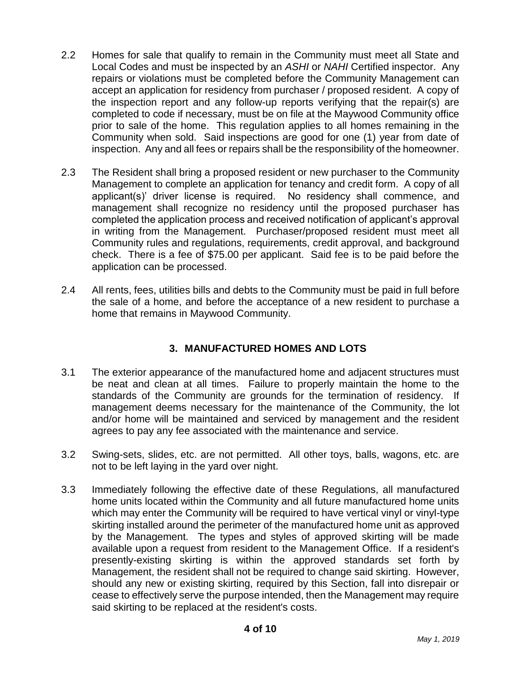- 2.2 Homes for sale that qualify to remain in the Community must meet all State and Local Codes and must be inspected by an *ASHI* or *NAHI* Certified inspector. Any repairs or violations must be completed before the Community Management can accept an application for residency from purchaser / proposed resident. A copy of the inspection report and any follow-up reports verifying that the repair(s) are completed to code if necessary, must be on file at the Maywood Community office prior to sale of the home. This regulation applies to all homes remaining in the Community when sold. Said inspections are good for one (1) year from date of inspection. Any and all fees or repairs shall be the responsibility of the homeowner.
- 2.3 The Resident shall bring a proposed resident or new purchaser to the Community Management to complete an application for tenancy and credit form. A copy of all applicant(s)' driver license is required. No residency shall commence, and management shall recognize no residency until the proposed purchaser has completed the application process and received notification of applicant's approval in writing from the Management. Purchaser/proposed resident must meet all Community rules and regulations, requirements, credit approval, and background check. There is a fee of \$75.00 per applicant. Said fee is to be paid before the application can be processed.
- 2.4 All rents, fees, utilities bills and debts to the Community must be paid in full before the sale of a home, and before the acceptance of a new resident to purchase a home that remains in Maywood Community.

#### **3. MANUFACTURED HOMES AND LOTS**

- 3.1 The exterior appearance of the manufactured home and adjacent structures must be neat and clean at all times. Failure to properly maintain the home to the standards of the Community are grounds for the termination of residency. If management deems necessary for the maintenance of the Community, the lot and/or home will be maintained and serviced by management and the resident agrees to pay any fee associated with the maintenance and service.
- 3.2 Swing-sets, slides, etc. are not permitted. All other toys, balls, wagons, etc. are not to be left laying in the yard over night.
- 3.3 Immediately following the effective date of these Regulations, all manufactured home units located within the Community and all future manufactured home units which may enter the Community will be required to have vertical vinyl or vinyl-type skirting installed around the perimeter of the manufactured home unit as approved by the Management. The types and styles of approved skirting will be made available upon a request from resident to the Management Office. If a resident's presently-existing skirting is within the approved standards set forth by Management, the resident shall not be required to change said skirting. However, should any new or existing skirting, required by this Section, fall into disrepair or cease to effectively serve the purpose intended, then the Management may require said skirting to be replaced at the resident's costs.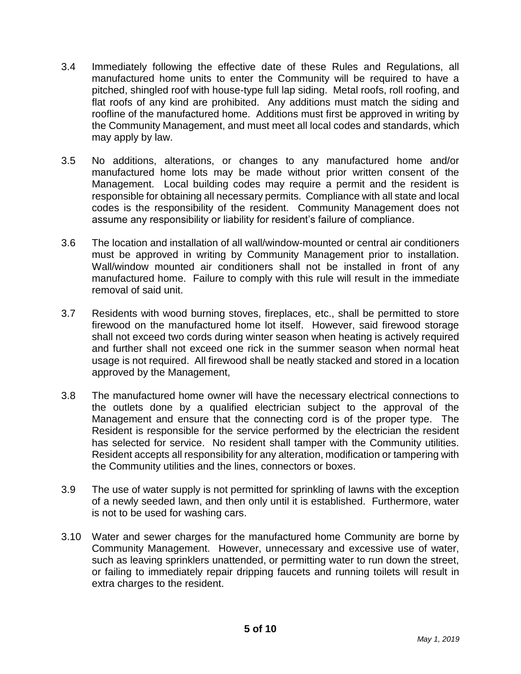- 3.4 Immediately following the effective date of these Rules and Regulations, all manufactured home units to enter the Community will be required to have a pitched, shingled roof with house-type full lap siding. Metal roofs, roll roofing, and flat roofs of any kind are prohibited. Any additions must match the siding and roofline of the manufactured home. Additions must first be approved in writing by the Community Management, and must meet all local codes and standards, which may apply by law.
- 3.5 No additions, alterations, or changes to any manufactured home and/or manufactured home lots may be made without prior written consent of the Management. Local building codes may require a permit and the resident is responsible for obtaining all necessary permits. Compliance with all state and local codes is the responsibility of the resident. Community Management does not assume any responsibility or liability for resident's failure of compliance.
- 3.6 The location and installation of all wall/window-mounted or central air conditioners must be approved in writing by Community Management prior to installation. Wall/window mounted air conditioners shall not be installed in front of any manufactured home. Failure to comply with this rule will result in the immediate removal of said unit.
- 3.7 Residents with wood burning stoves, fireplaces, etc., shall be permitted to store firewood on the manufactured home lot itself. However, said firewood storage shall not exceed two cords during winter season when heating is actively required and further shall not exceed one rick in the summer season when normal heat usage is not required. All firewood shall be neatly stacked and stored in a location approved by the Management,
- 3.8 The manufactured home owner will have the necessary electrical connections to the outlets done by a qualified electrician subject to the approval of the Management and ensure that the connecting cord is of the proper type. The Resident is responsible for the service performed by the electrician the resident has selected for service. No resident shall tamper with the Community utilities. Resident accepts all responsibility for any alteration, modification or tampering with the Community utilities and the lines, connectors or boxes.
- 3.9 The use of water supply is not permitted for sprinkling of lawns with the exception of a newly seeded lawn, and then only until it is established. Furthermore, water is not to be used for washing cars.
- 3.10 Water and sewer charges for the manufactured home Community are borne by Community Management. However, unnecessary and excessive use of water, such as leaving sprinklers unattended, or permitting water to run down the street, or failing to immediately repair dripping faucets and running toilets will result in extra charges to the resident.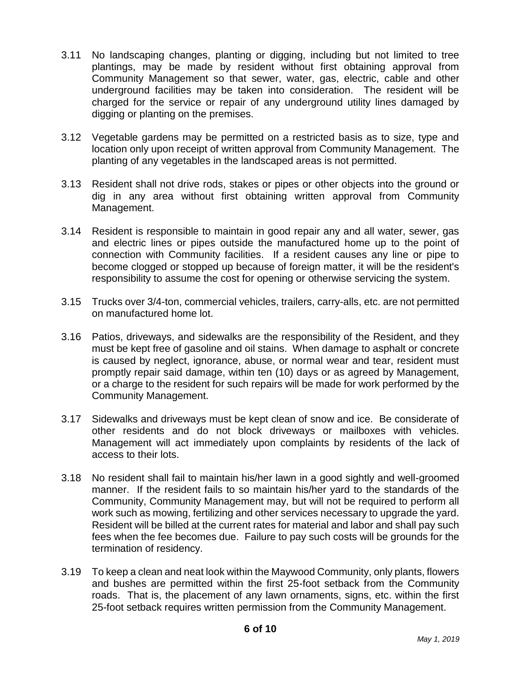- 3.11 No landscaping changes, planting or digging, including but not limited to tree plantings, may be made by resident without first obtaining approval from Community Management so that sewer, water, gas, electric, cable and other underground facilities may be taken into consideration. The resident will be charged for the service or repair of any underground utility lines damaged by digging or planting on the premises.
- 3.12 Vegetable gardens may be permitted on a restricted basis as to size, type and location only upon receipt of written approval from Community Management. The planting of any vegetables in the landscaped areas is not permitted.
- 3.13 Resident shall not drive rods, stakes or pipes or other objects into the ground or dig in any area without first obtaining written approval from Community Management.
- 3.14 Resident is responsible to maintain in good repair any and all water, sewer, gas and electric lines or pipes outside the manufactured home up to the point of connection with Community facilities. If a resident causes any line or pipe to become clogged or stopped up because of foreign matter, it will be the resident's responsibility to assume the cost for opening or otherwise servicing the system.
- 3.15 Trucks over 3/4-ton, commercial vehicles, trailers, carry-alls, etc. are not permitted on manufactured home lot.
- 3.16 Patios, driveways, and sidewalks are the responsibility of the Resident, and they must be kept free of gasoline and oil stains. When damage to asphalt or concrete is caused by neglect, ignorance, abuse, or normal wear and tear, resident must promptly repair said damage, within ten (10) days or as agreed by Management, or a charge to the resident for such repairs will be made for work performed by the Community Management.
- 3.17 Sidewalks and driveways must be kept clean of snow and ice. Be considerate of other residents and do not block driveways or mailboxes with vehicles. Management will act immediately upon complaints by residents of the lack of access to their lots.
- 3.18 No resident shall fail to maintain his/her lawn in a good sightly and well-groomed manner. If the resident fails to so maintain his/her yard to the standards of the Community, Community Management may, but will not be required to perform all work such as mowing, fertilizing and other services necessary to upgrade the yard. Resident will be billed at the current rates for material and labor and shall pay such fees when the fee becomes due. Failure to pay such costs will be grounds for the termination of residency.
- 3.19 To keep a clean and neat look within the Maywood Community, only plants, flowers and bushes are permitted within the first 25-foot setback from the Community roads. That is, the placement of any lawn ornaments, signs, etc. within the first 25-foot setback requires written permission from the Community Management.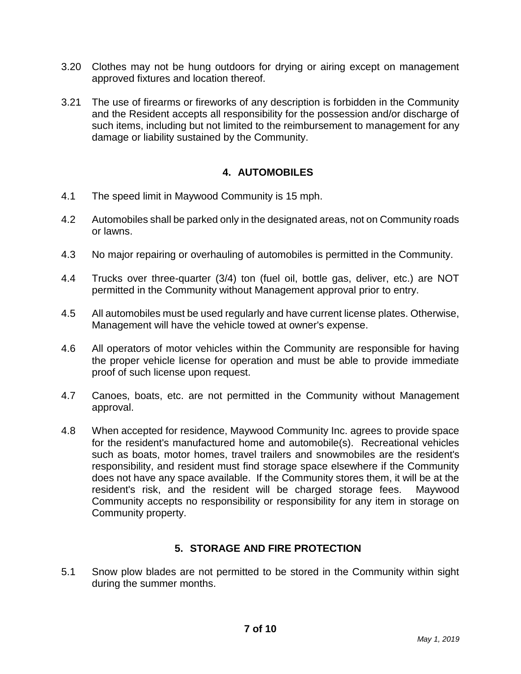- 3.20 Clothes may not be hung outdoors for drying or airing except on management approved fixtures and location thereof.
- 3.21 The use of firearms or fireworks of any description is forbidden in the Community and the Resident accepts all responsibility for the possession and/or discharge of such items, including but not limited to the reimbursement to management for any damage or liability sustained by the Community.

#### **4. AUTOMOBILES**

- 4.1 The speed limit in Maywood Community is 15 mph.
- 4.2 Automobiles shall be parked only in the designated areas, not on Community roads or lawns.
- 4.3 No major repairing or overhauling of automobiles is permitted in the Community.
- 4.4 Trucks over three-quarter (3/4) ton (fuel oil, bottle gas, deliver, etc.) are NOT permitted in the Community without Management approval prior to entry.
- 4.5 All automobiles must be used regularly and have current license plates. Otherwise, Management will have the vehicle towed at owner's expense.
- 4.6 All operators of motor vehicles within the Community are responsible for having the proper vehicle license for operation and must be able to provide immediate proof of such license upon request.
- 4.7 Canoes, boats, etc. are not permitted in the Community without Management approval.
- 4.8 When accepted for residence, Maywood Community Inc. agrees to provide space for the resident's manufactured home and automobile(s). Recreational vehicles such as boats, motor homes, travel trailers and snowmobiles are the resident's responsibility, and resident must find storage space elsewhere if the Community does not have any space available. If the Community stores them, it will be at the resident's risk, and the resident will be charged storage fees. Maywood Community accepts no responsibility or responsibility for any item in storage on Community property.

#### **5. STORAGE AND FIRE PROTECTION**

5.1 Snow plow blades are not permitted to be stored in the Community within sight during the summer months.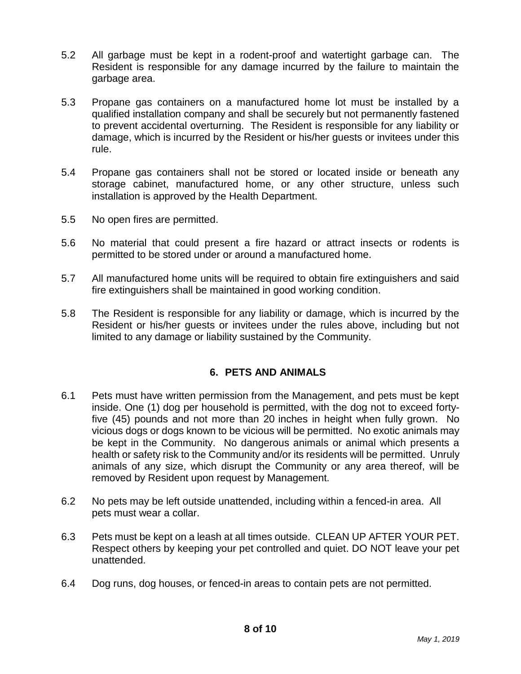- 5.2 All garbage must be kept in a rodent-proof and watertight garbage can. The Resident is responsible for any damage incurred by the failure to maintain the garbage area.
- 5.3 Propane gas containers on a manufactured home lot must be installed by a qualified installation company and shall be securely but not permanently fastened to prevent accidental overturning. The Resident is responsible for any liability or damage, which is incurred by the Resident or his/her guests or invitees under this rule.
- 5.4 Propane gas containers shall not be stored or located inside or beneath any storage cabinet, manufactured home, or any other structure, unless such installation is approved by the Health Department.
- 5.5 No open fires are permitted.
- 5.6 No material that could present a fire hazard or attract insects or rodents is permitted to be stored under or around a manufactured home.
- 5.7 All manufactured home units will be required to obtain fire extinguishers and said fire extinguishers shall be maintained in good working condition.
- 5.8 The Resident is responsible for any liability or damage, which is incurred by the Resident or his/her guests or invitees under the rules above, including but not limited to any damage or liability sustained by the Community.

#### **6. PETS AND ANIMALS**

- 6.1 Pets must have written permission from the Management, and pets must be kept inside. One (1) dog per household is permitted, with the dog not to exceed fortyfive (45) pounds and not more than 20 inches in height when fully grown. No vicious dogs or dogs known to be vicious will be permitted. No exotic animals may be kept in the Community. No dangerous animals or animal which presents a health or safety risk to the Community and/or its residents will be permitted. Unruly animals of any size, which disrupt the Community or any area thereof, will be removed by Resident upon request by Management.
- 6.2 No pets may be left outside unattended, including within a fenced-in area. All pets must wear a collar.
- 6.3 Pets must be kept on a leash at all times outside. CLEAN UP AFTER YOUR PET. Respect others by keeping your pet controlled and quiet. DO NOT leave your pet unattended.
- 6.4 Dog runs, dog houses, or fenced-in areas to contain pets are not permitted.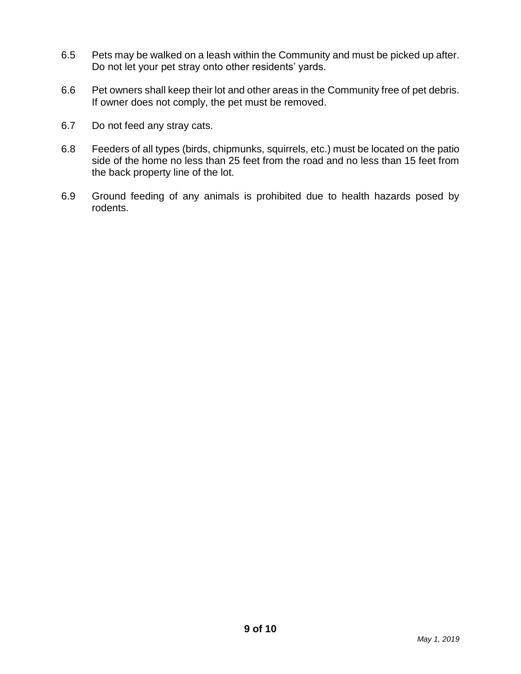- 6.5 Pets may be walked on a leash within the Community and must be picked up after. Do not let your pet stray onto other residents' yards.
- 6.6 Pet owners shall keep their lot and other areas in the Community free of pet debris. If owner does not comply, the pet must be removed.
- 6.7 Do not feed any stray cats.
- 6.8 Feeders of all types (birds, chipmunks, squirrels, etc.) must be located on the patio side of the home no less than 25 feet from the road and no less than 15 feet from the back property line of the lot.
- 6.9 Ground feeding of any animals is prohibited due to health hazards posed by rodents.